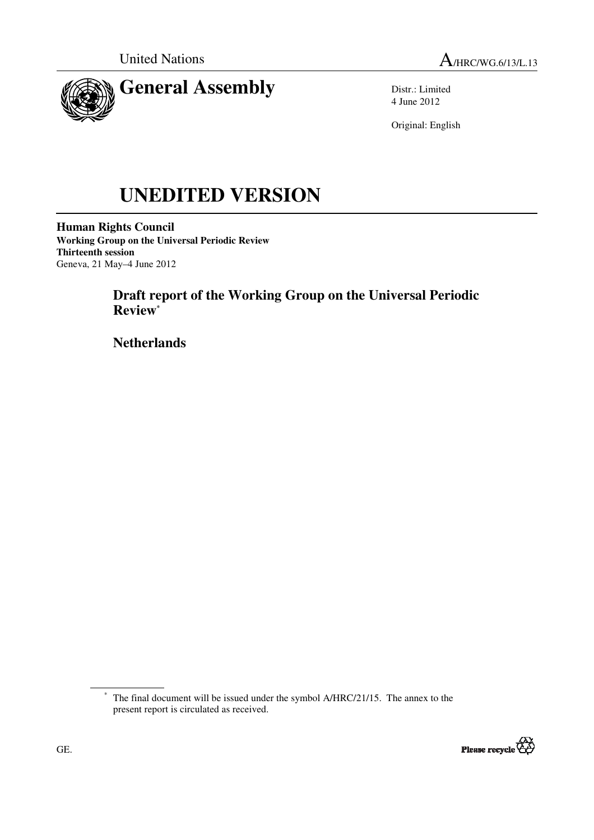



Distr.: Limited 4 June 2012

Original: English

# **UNEDITED VERSION**

**Human Rights Council Working Group on the Universal Periodic Review Thirteenth session**  Geneva, 21 May–4 June 2012

# **Draft report of the Working Group on the Universal Periodic Review\***

 **Netherlands** 

<sup>\*</sup> The final document will be issued under the symbol A/HRC/21/15. The annex to the present report is circulated as received.

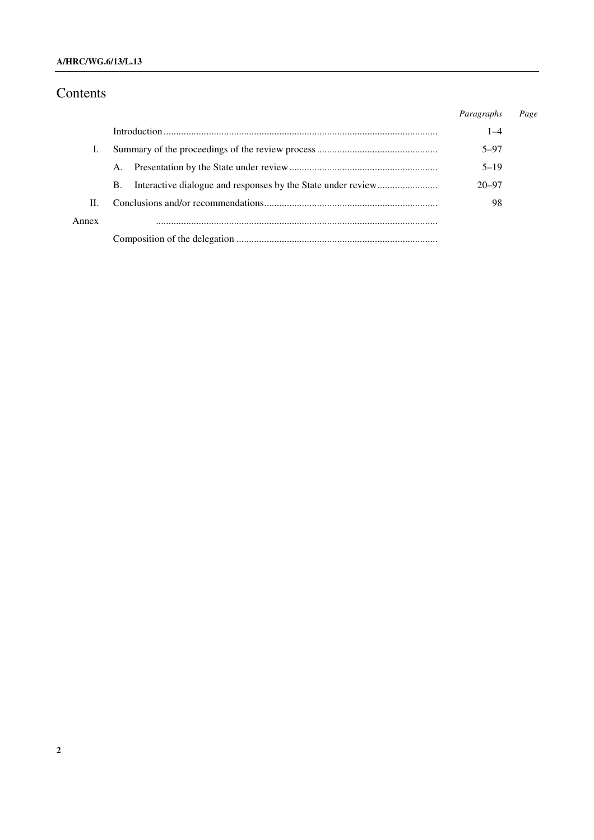## Contents

|       |    | Paragraphs | Page |
|-------|----|------------|------|
|       |    | $1 - 4$    |      |
|       |    | $5 - 97$   |      |
|       | A. | $5 - 19$   |      |
|       | В. | $20 - 97$  |      |
| H.    |    | 98         |      |
| Annex |    |            |      |
|       |    |            |      |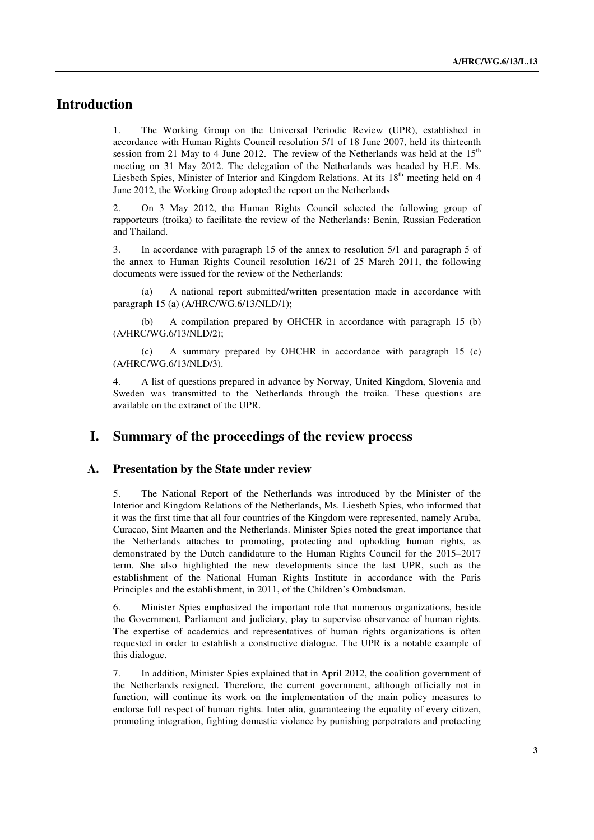## **Introduction**

1. The Working Group on the Universal Periodic Review (UPR), established in accordance with Human Rights Council resolution 5/1 of 18 June 2007, held its thirteenth session from 21 May to 4 June 2012. The review of the Netherlands was held at the  $15<sup>th</sup>$ meeting on 31 May 2012. The delegation of the Netherlands was headed by H.E. Ms. Liesbeth Spies, Minister of Interior and Kingdom Relations. At its  $18<sup>th</sup>$  meeting held on 4 June 2012, the Working Group adopted the report on the Netherlands

2. On 3 May 2012, the Human Rights Council selected the following group of rapporteurs (troika) to facilitate the review of the Netherlands: Benin, Russian Federation and Thailand.

3. In accordance with paragraph 15 of the annex to resolution 5/1 and paragraph 5 of the annex to Human Rights Council resolution 16/21 of 25 March 2011, the following documents were issued for the review of the Netherlands:

 (a) A national report submitted/written presentation made in accordance with paragraph 15 (a) (A/HRC/WG.6/13/NLD/1);

 (b) A compilation prepared by OHCHR in accordance with paragraph 15 (b) (A/HRC/WG.6/13/NLD/2);

 (c) A summary prepared by OHCHR in accordance with paragraph 15 (c) (A/HRC/WG.6/13/NLD/3).

4. A list of questions prepared in advance by Norway, United Kingdom, Slovenia and Sweden was transmitted to the Netherlands through the troika. These questions are available on the extranet of the UPR.

## **I. Summary of the proceedings of the review process**

#### **A. Presentation by the State under review**

5. The National Report of the Netherlands was introduced by the Minister of the Interior and Kingdom Relations of the Netherlands, Ms. Liesbeth Spies, who informed that it was the first time that all four countries of the Kingdom were represented, namely Aruba, Curacao, Sint Maarten and the Netherlands. Minister Spies noted the great importance that the Netherlands attaches to promoting, protecting and upholding human rights, as demonstrated by the Dutch candidature to the Human Rights Council for the 2015–2017 term. She also highlighted the new developments since the last UPR, such as the establishment of the National Human Rights Institute in accordance with the Paris Principles and the establishment, in 2011, of the Children's Ombudsman.

6. Minister Spies emphasized the important role that numerous organizations, beside the Government, Parliament and judiciary, play to supervise observance of human rights. The expertise of academics and representatives of human rights organizations is often requested in order to establish a constructive dialogue. The UPR is a notable example of this dialogue.

7. In addition, Minister Spies explained that in April 2012, the coalition government of the Netherlands resigned. Therefore, the current government, although officially not in function, will continue its work on the implementation of the main policy measures to endorse full respect of human rights. Inter alia, guaranteeing the equality of every citizen, promoting integration, fighting domestic violence by punishing perpetrators and protecting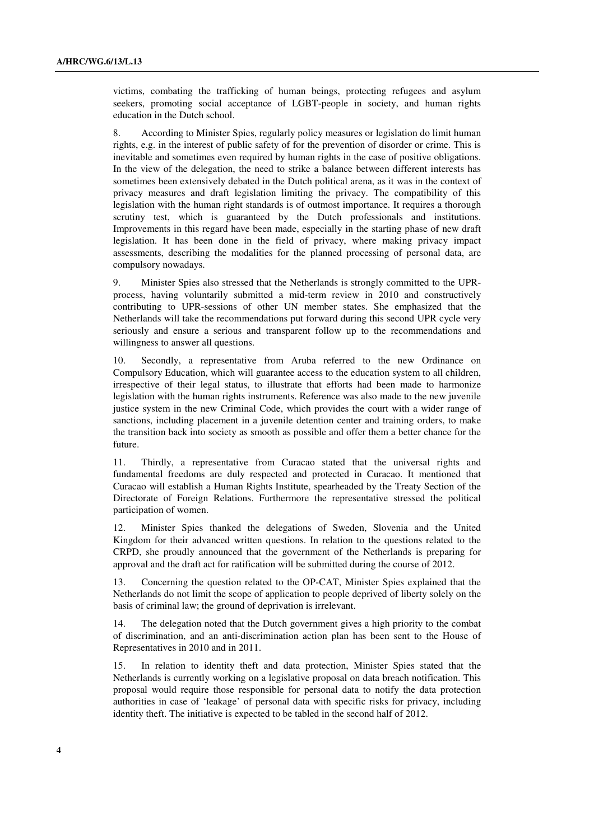victims, combating the trafficking of human beings, protecting refugees and asylum seekers, promoting social acceptance of LGBT-people in society, and human rights education in the Dutch school.

8. According to Minister Spies, regularly policy measures or legislation do limit human rights, e.g. in the interest of public safety of for the prevention of disorder or crime. This is inevitable and sometimes even required by human rights in the case of positive obligations. In the view of the delegation, the need to strike a balance between different interests has sometimes been extensively debated in the Dutch political arena, as it was in the context of privacy measures and draft legislation limiting the privacy. The compatibility of this legislation with the human right standards is of outmost importance. It requires a thorough scrutiny test, which is guaranteed by the Dutch professionals and institutions. Improvements in this regard have been made, especially in the starting phase of new draft legislation. It has been done in the field of privacy, where making privacy impact assessments, describing the modalities for the planned processing of personal data, are compulsory nowadays.

9. Minister Spies also stressed that the Netherlands is strongly committed to the UPRprocess, having voluntarily submitted a mid-term review in 2010 and constructively contributing to UPR-sessions of other UN member states. She emphasized that the Netherlands will take the recommendations put forward during this second UPR cycle very seriously and ensure a serious and transparent follow up to the recommendations and willingness to answer all questions.

10. Secondly, a representative from Aruba referred to the new Ordinance on Compulsory Education, which will guarantee access to the education system to all children, irrespective of their legal status, to illustrate that efforts had been made to harmonize legislation with the human rights instruments. Reference was also made to the new juvenile justice system in the new Criminal Code, which provides the court with a wider range of sanctions, including placement in a juvenile detention center and training orders, to make the transition back into society as smooth as possible and offer them a better chance for the future.

11. Thirdly, a representative from Curacao stated that the universal rights and fundamental freedoms are duly respected and protected in Curacao. It mentioned that Curacao will establish a Human Rights Institute, spearheaded by the Treaty Section of the Directorate of Foreign Relations. Furthermore the representative stressed the political participation of women.

12. Minister Spies thanked the delegations of Sweden, Slovenia and the United Kingdom for their advanced written questions. In relation to the questions related to the CRPD, she proudly announced that the government of the Netherlands is preparing for approval and the draft act for ratification will be submitted during the course of 2012.

13. Concerning the question related to the OP-CAT, Minister Spies explained that the Netherlands do not limit the scope of application to people deprived of liberty solely on the basis of criminal law; the ground of deprivation is irrelevant.

14. The delegation noted that the Dutch government gives a high priority to the combat of discrimination, and an anti-discrimination action plan has been sent to the House of Representatives in 2010 and in 2011.

15. In relation to identity theft and data protection, Minister Spies stated that the Netherlands is currently working on a legislative proposal on data breach notification. This proposal would require those responsible for personal data to notify the data protection authorities in case of 'leakage' of personal data with specific risks for privacy, including identity theft. The initiative is expected to be tabled in the second half of 2012.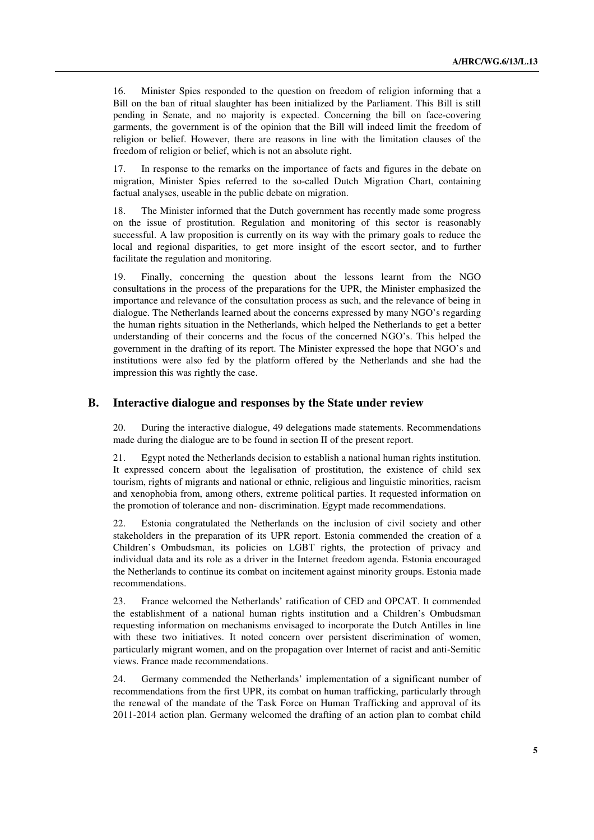16. Minister Spies responded to the question on freedom of religion informing that a Bill on the ban of ritual slaughter has been initialized by the Parliament. This Bill is still pending in Senate, and no majority is expected. Concerning the bill on face-covering garments, the government is of the opinion that the Bill will indeed limit the freedom of religion or belief. However, there are reasons in line with the limitation clauses of the freedom of religion or belief, which is not an absolute right.

17. In response to the remarks on the importance of facts and figures in the debate on migration, Minister Spies referred to the so-called Dutch Migration Chart, containing factual analyses, useable in the public debate on migration.

18. The Minister informed that the Dutch government has recently made some progress on the issue of prostitution. Regulation and monitoring of this sector is reasonably successful. A law proposition is currently on its way with the primary goals to reduce the local and regional disparities, to get more insight of the escort sector, and to further facilitate the regulation and monitoring.

19. Finally, concerning the question about the lessons learnt from the NGO consultations in the process of the preparations for the UPR, the Minister emphasized the importance and relevance of the consultation process as such, and the relevance of being in dialogue. The Netherlands learned about the concerns expressed by many NGO's regarding the human rights situation in the Netherlands, which helped the Netherlands to get a better understanding of their concerns and the focus of the concerned NGO's. This helped the government in the drafting of its report. The Minister expressed the hope that NGO's and institutions were also fed by the platform offered by the Netherlands and she had the impression this was rightly the case.

#### **B. Interactive dialogue and responses by the State under review**

20. During the interactive dialogue, 49 delegations made statements. Recommendations made during the dialogue are to be found in section II of the present report.

21. Egypt noted the Netherlands decision to establish a national human rights institution. It expressed concern about the legalisation of prostitution, the existence of child sex tourism, rights of migrants and national or ethnic, religious and linguistic minorities, racism and xenophobia from, among others, extreme political parties. It requested information on the promotion of tolerance and non- discrimination. Egypt made recommendations.

22. Estonia congratulated the Netherlands on the inclusion of civil society and other stakeholders in the preparation of its UPR report. Estonia commended the creation of a Children's Ombudsman, its policies on LGBT rights, the protection of privacy and individual data and its role as a driver in the Internet freedom agenda. Estonia encouraged the Netherlands to continue its combat on incitement against minority groups. Estonia made recommendations.

23. France welcomed the Netherlands' ratification of CED and OPCAT. It commended the establishment of a national human rights institution and a Children's Ombudsman requesting information on mechanisms envisaged to incorporate the Dutch Antilles in line with these two initiatives. It noted concern over persistent discrimination of women, particularly migrant women, and on the propagation over Internet of racist and anti-Semitic views. France made recommendations.

24. Germany commended the Netherlands' implementation of a significant number of recommendations from the first UPR, its combat on human trafficking, particularly through the renewal of the mandate of the Task Force on Human Trafficking and approval of its 2011-2014 action plan. Germany welcomed the drafting of an action plan to combat child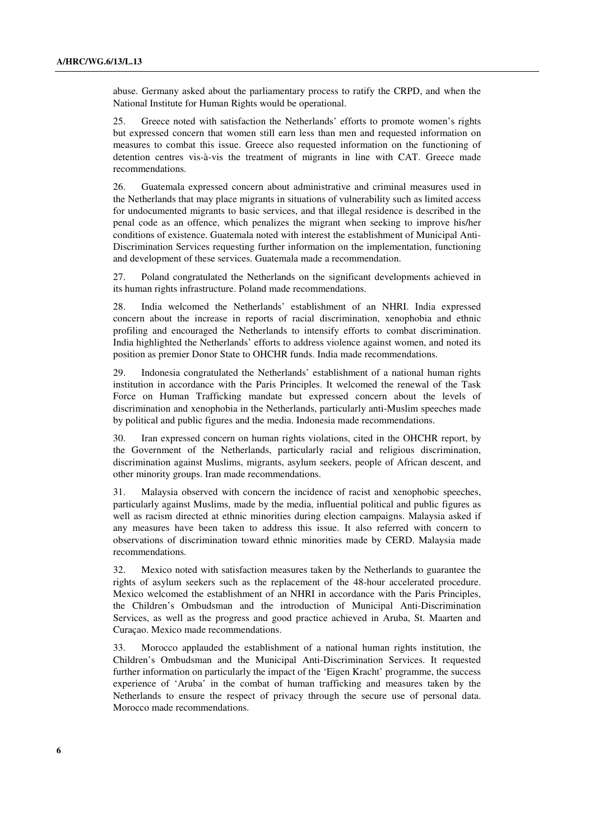abuse. Germany asked about the parliamentary process to ratify the CRPD, and when the National Institute for Human Rights would be operational.

25. Greece noted with satisfaction the Netherlands' efforts to promote women's rights but expressed concern that women still earn less than men and requested information on measures to combat this issue. Greece also requested information on the functioning of detention centres vis-à-vis the treatment of migrants in line with CAT. Greece made recommendations.

26. Guatemala expressed concern about administrative and criminal measures used in the Netherlands that may place migrants in situations of vulnerability such as limited access for undocumented migrants to basic services, and that illegal residence is described in the penal code as an offence, which penalizes the migrant when seeking to improve his/her conditions of existence. Guatemala noted with interest the establishment of Municipal Anti-Discrimination Services requesting further information on the implementation, functioning and development of these services. Guatemala made a recommendation.

27. Poland congratulated the Netherlands on the significant developments achieved in its human rights infrastructure. Poland made recommendations.

28. India welcomed the Netherlands' establishment of an NHRI. India expressed concern about the increase in reports of racial discrimination, xenophobia and ethnic profiling and encouraged the Netherlands to intensify efforts to combat discrimination. India highlighted the Netherlands' efforts to address violence against women, and noted its position as premier Donor State to OHCHR funds. India made recommendations.

29. Indonesia congratulated the Netherlands' establishment of a national human rights institution in accordance with the Paris Principles. It welcomed the renewal of the Task Force on Human Trafficking mandate but expressed concern about the levels of discrimination and xenophobia in the Netherlands, particularly anti-Muslim speeches made by political and public figures and the media. Indonesia made recommendations.

30. Iran expressed concern on human rights violations, cited in the OHCHR report, by the Government of the Netherlands, particularly racial and religious discrimination, discrimination against Muslims, migrants, asylum seekers, people of African descent, and other minority groups. Iran made recommendations.

31. Malaysia observed with concern the incidence of racist and xenophobic speeches, particularly against Muslims, made by the media, influential political and public figures as well as racism directed at ethnic minorities during election campaigns. Malaysia asked if any measures have been taken to address this issue. It also referred with concern to observations of discrimination toward ethnic minorities made by CERD. Malaysia made recommendations.

32. Mexico noted with satisfaction measures taken by the Netherlands to guarantee the rights of asylum seekers such as the replacement of the 48-hour accelerated procedure. Mexico welcomed the establishment of an NHRI in accordance with the Paris Principles, the Children's Ombudsman and the introduction of Municipal Anti-Discrimination Services, as well as the progress and good practice achieved in Aruba, St. Maarten and Curaçao. Mexico made recommendations.

33. Morocco applauded the establishment of a national human rights institution, the Children's Ombudsman and the Municipal Anti-Discrimination Services. It requested further information on particularly the impact of the 'Eigen Kracht' programme, the success experience of 'Aruba' in the combat of human trafficking and measures taken by the Netherlands to ensure the respect of privacy through the secure use of personal data. Morocco made recommendations.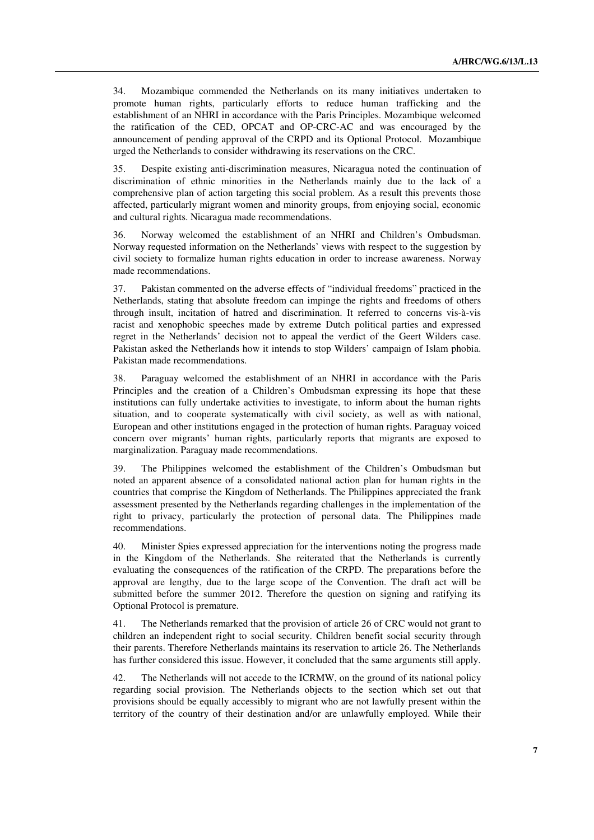34. Mozambique commended the Netherlands on its many initiatives undertaken to promote human rights, particularly efforts to reduce human trafficking and the establishment of an NHRI in accordance with the Paris Principles. Mozambique welcomed the ratification of the CED, OPCAT and OP-CRC-AC and was encouraged by the announcement of pending approval of the CRPD and its Optional Protocol. Mozambique urged the Netherlands to consider withdrawing its reservations on the CRC.

35. Despite existing anti-discrimination measures, Nicaragua noted the continuation of discrimination of ethnic minorities in the Netherlands mainly due to the lack of a comprehensive plan of action targeting this social problem. As a result this prevents those affected, particularly migrant women and minority groups, from enjoying social, economic and cultural rights. Nicaragua made recommendations.

36. Norway welcomed the establishment of an NHRI and Children's Ombudsman. Norway requested information on the Netherlands' views with respect to the suggestion by civil society to formalize human rights education in order to increase awareness. Norway made recommendations.

37. Pakistan commented on the adverse effects of "individual freedoms" practiced in the Netherlands, stating that absolute freedom can impinge the rights and freedoms of others through insult, incitation of hatred and discrimination. It referred to concerns vis-à-vis racist and xenophobic speeches made by extreme Dutch political parties and expressed regret in the Netherlands' decision not to appeal the verdict of the Geert Wilders case. Pakistan asked the Netherlands how it intends to stop Wilders' campaign of Islam phobia. Pakistan made recommendations.

38. Paraguay welcomed the establishment of an NHRI in accordance with the Paris Principles and the creation of a Children's Ombudsman expressing its hope that these institutions can fully undertake activities to investigate, to inform about the human rights situation, and to cooperate systematically with civil society, as well as with national, European and other institutions engaged in the protection of human rights. Paraguay voiced concern over migrants' human rights, particularly reports that migrants are exposed to marginalization. Paraguay made recommendations.

39. The Philippines welcomed the establishment of the Children's Ombudsman but noted an apparent absence of a consolidated national action plan for human rights in the countries that comprise the Kingdom of Netherlands. The Philippines appreciated the frank assessment presented by the Netherlands regarding challenges in the implementation of the right to privacy, particularly the protection of personal data. The Philippines made recommendations.

40. Minister Spies expressed appreciation for the interventions noting the progress made in the Kingdom of the Netherlands. She reiterated that the Netherlands is currently evaluating the consequences of the ratification of the CRPD. The preparations before the approval are lengthy, due to the large scope of the Convention. The draft act will be submitted before the summer 2012. Therefore the question on signing and ratifying its Optional Protocol is premature.

41. The Netherlands remarked that the provision of article 26 of CRC would not grant to children an independent right to social security. Children benefit social security through their parents. Therefore Netherlands maintains its reservation to article 26. The Netherlands has further considered this issue. However, it concluded that the same arguments still apply.

42. The Netherlands will not accede to the ICRMW, on the ground of its national policy regarding social provision. The Netherlands objects to the section which set out that provisions should be equally accessibly to migrant who are not lawfully present within the territory of the country of their destination and/or are unlawfully employed. While their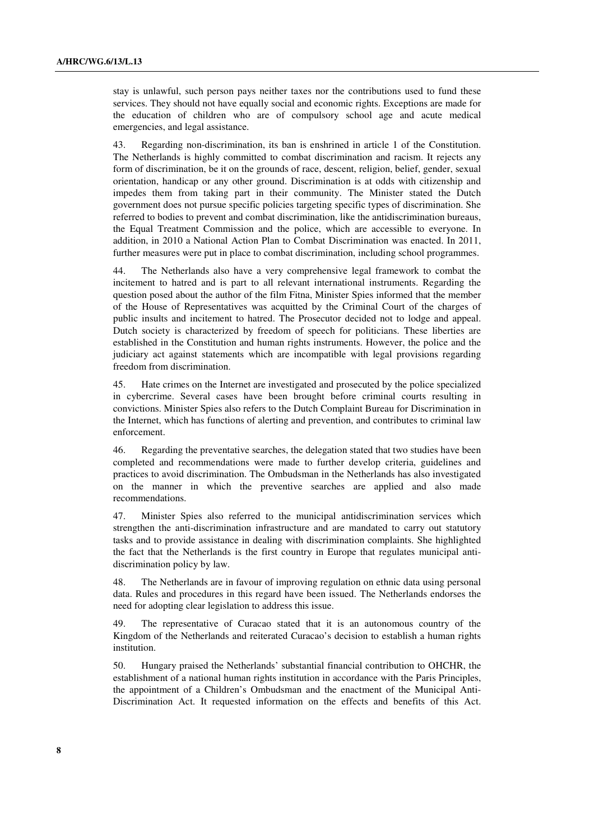stay is unlawful, such person pays neither taxes nor the contributions used to fund these services. They should not have equally social and economic rights. Exceptions are made for the education of children who are of compulsory school age and acute medical emergencies, and legal assistance.

43. Regarding non-discrimination, its ban is enshrined in article 1 of the Constitution. The Netherlands is highly committed to combat discrimination and racism. It rejects any form of discrimination, be it on the grounds of race, descent, religion, belief, gender, sexual orientation, handicap or any other ground. Discrimination is at odds with citizenship and impedes them from taking part in their community. The Minister stated the Dutch government does not pursue specific policies targeting specific types of discrimination. She referred to bodies to prevent and combat discrimination, like the antidiscrimination bureaus, the Equal Treatment Commission and the police, which are accessible to everyone. In addition, in 2010 a National Action Plan to Combat Discrimination was enacted. In 2011, further measures were put in place to combat discrimination, including school programmes.

44. The Netherlands also have a very comprehensive legal framework to combat the incitement to hatred and is part to all relevant international instruments. Regarding the question posed about the author of the film Fitna, Minister Spies informed that the member of the House of Representatives was acquitted by the Criminal Court of the charges of public insults and incitement to hatred. The Prosecutor decided not to lodge and appeal. Dutch society is characterized by freedom of speech for politicians. These liberties are established in the Constitution and human rights instruments. However, the police and the judiciary act against statements which are incompatible with legal provisions regarding freedom from discrimination.

45. Hate crimes on the Internet are investigated and prosecuted by the police specialized in cybercrime. Several cases have been brought before criminal courts resulting in convictions. Minister Spies also refers to the Dutch Complaint Bureau for Discrimination in the Internet, which has functions of alerting and prevention, and contributes to criminal law enforcement.

46. Regarding the preventative searches, the delegation stated that two studies have been completed and recommendations were made to further develop criteria, guidelines and practices to avoid discrimination. The Ombudsman in the Netherlands has also investigated on the manner in which the preventive searches are applied and also made recommendations.

47. Minister Spies also referred to the municipal antidiscrimination services which strengthen the anti-discrimination infrastructure and are mandated to carry out statutory tasks and to provide assistance in dealing with discrimination complaints. She highlighted the fact that the Netherlands is the first country in Europe that regulates municipal antidiscrimination policy by law.

48. The Netherlands are in favour of improving regulation on ethnic data using personal data. Rules and procedures in this regard have been issued. The Netherlands endorses the need for adopting clear legislation to address this issue.

49. The representative of Curacao stated that it is an autonomous country of the Kingdom of the Netherlands and reiterated Curacao's decision to establish a human rights institution.

50. Hungary praised the Netherlands' substantial financial contribution to OHCHR, the establishment of a national human rights institution in accordance with the Paris Principles, the appointment of a Children's Ombudsman and the enactment of the Municipal Anti-Discrimination Act. It requested information on the effects and benefits of this Act.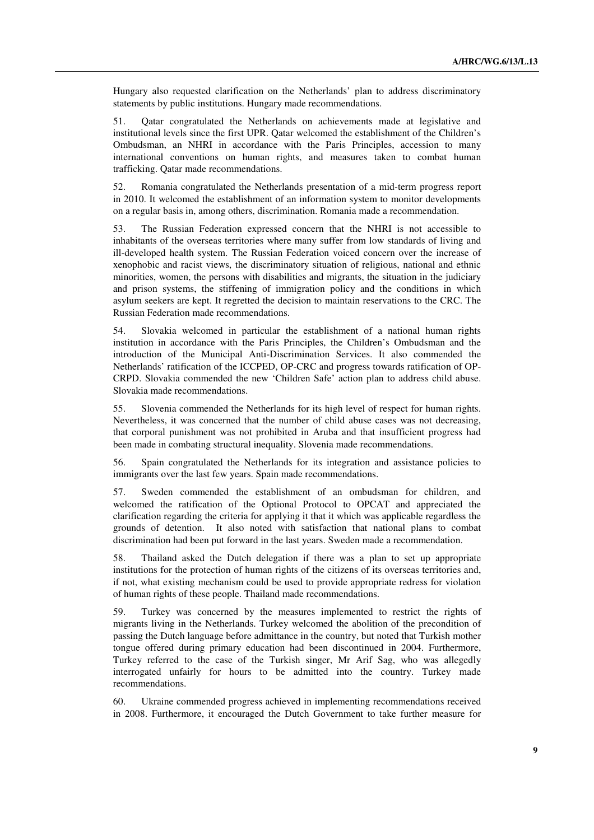Hungary also requested clarification on the Netherlands' plan to address discriminatory statements by public institutions. Hungary made recommendations.

51. Qatar congratulated the Netherlands on achievements made at legislative and institutional levels since the first UPR. Qatar welcomed the establishment of the Children's Ombudsman, an NHRI in accordance with the Paris Principles, accession to many international conventions on human rights, and measures taken to combat human trafficking. Qatar made recommendations.

52. Romania congratulated the Netherlands presentation of a mid-term progress report in 2010. It welcomed the establishment of an information system to monitor developments on a regular basis in, among others, discrimination. Romania made a recommendation.

53. The Russian Federation expressed concern that the NHRI is not accessible to inhabitants of the overseas territories where many suffer from low standards of living and ill-developed health system. The Russian Federation voiced concern over the increase of xenophobic and racist views, the discriminatory situation of religious, national and ethnic minorities, women, the persons with disabilities and migrants, the situation in the judiciary and prison systems, the stiffening of immigration policy and the conditions in which asylum seekers are kept. It regretted the decision to maintain reservations to the CRC. The Russian Federation made recommendations.

54. Slovakia welcomed in particular the establishment of a national human rights institution in accordance with the Paris Principles, the Children's Ombudsman and the introduction of the Municipal Anti-Discrimination Services. It also commended the Netherlands' ratification of the ICCPED, OP-CRC and progress towards ratification of OP-CRPD. Slovakia commended the new 'Children Safe' action plan to address child abuse. Slovakia made recommendations.

55. Slovenia commended the Netherlands for its high level of respect for human rights. Nevertheless, it was concerned that the number of child abuse cases was not decreasing, that corporal punishment was not prohibited in Aruba and that insufficient progress had been made in combating structural inequality. Slovenia made recommendations.

56. Spain congratulated the Netherlands for its integration and assistance policies to immigrants over the last few years. Spain made recommendations.

57. Sweden commended the establishment of an ombudsman for children, and welcomed the ratification of the Optional Protocol to OPCAT and appreciated the clarification regarding the criteria for applying it that it which was applicable regardless the grounds of detention. It also noted with satisfaction that national plans to combat discrimination had been put forward in the last years. Sweden made a recommendation.

58. Thailand asked the Dutch delegation if there was a plan to set up appropriate institutions for the protection of human rights of the citizens of its overseas territories and, if not, what existing mechanism could be used to provide appropriate redress for violation of human rights of these people. Thailand made recommendations.

59. Turkey was concerned by the measures implemented to restrict the rights of migrants living in the Netherlands. Turkey welcomed the abolition of the precondition of passing the Dutch language before admittance in the country, but noted that Turkish mother tongue offered during primary education had been discontinued in 2004. Furthermore, Turkey referred to the case of the Turkish singer, Mr Arif Sag, who was allegedly interrogated unfairly for hours to be admitted into the country. Turkey made recommendations.

60. Ukraine commended progress achieved in implementing recommendations received in 2008. Furthermore, it encouraged the Dutch Government to take further measure for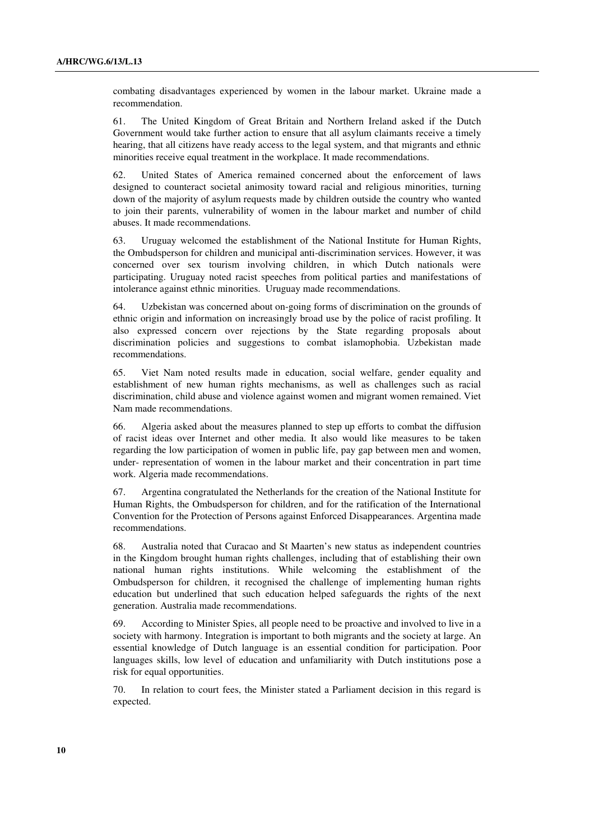combating disadvantages experienced by women in the labour market. Ukraine made a recommendation.

61. The United Kingdom of Great Britain and Northern Ireland asked if the Dutch Government would take further action to ensure that all asylum claimants receive a timely hearing, that all citizens have ready access to the legal system, and that migrants and ethnic minorities receive equal treatment in the workplace. It made recommendations.

62. United States of America remained concerned about the enforcement of laws designed to counteract societal animosity toward racial and religious minorities, turning down of the majority of asylum requests made by children outside the country who wanted to join their parents, vulnerability of women in the labour market and number of child abuses. It made recommendations.

63. Uruguay welcomed the establishment of the National Institute for Human Rights, the Ombudsperson for children and municipal anti-discrimination services. However, it was concerned over sex tourism involving children, in which Dutch nationals were participating. Uruguay noted racist speeches from political parties and manifestations of intolerance against ethnic minorities. Uruguay made recommendations.

64. Uzbekistan was concerned about on-going forms of discrimination on the grounds of ethnic origin and information on increasingly broad use by the police of racist profiling. It also expressed concern over rejections by the State regarding proposals about discrimination policies and suggestions to combat islamophobia. Uzbekistan made recommendations.

65. Viet Nam noted results made in education, social welfare, gender equality and establishment of new human rights mechanisms, as well as challenges such as racial discrimination, child abuse and violence against women and migrant women remained. Viet Nam made recommendations.

66. Algeria asked about the measures planned to step up efforts to combat the diffusion of racist ideas over Internet and other media. It also would like measures to be taken regarding the low participation of women in public life, pay gap between men and women, under- representation of women in the labour market and their concentration in part time work. Algeria made recommendations.

67. Argentina congratulated the Netherlands for the creation of the National Institute for Human Rights, the Ombudsperson for children, and for the ratification of the International Convention for the Protection of Persons against Enforced Disappearances. Argentina made recommendations.

68. Australia noted that Curacao and St Maarten's new status as independent countries in the Kingdom brought human rights challenges, including that of establishing their own national human rights institutions. While welcoming the establishment of the Ombudsperson for children, it recognised the challenge of implementing human rights education but underlined that such education helped safeguards the rights of the next generation. Australia made recommendations.

69. According to Minister Spies, all people need to be proactive and involved to live in a society with harmony. Integration is important to both migrants and the society at large. An essential knowledge of Dutch language is an essential condition for participation. Poor languages skills, low level of education and unfamiliarity with Dutch institutions pose a risk for equal opportunities.

70. In relation to court fees, the Minister stated a Parliament decision in this regard is expected.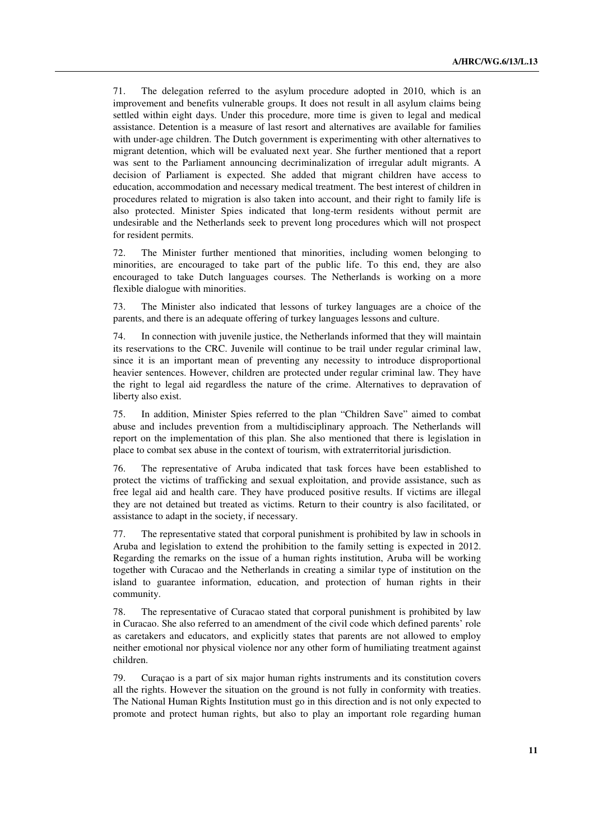71. The delegation referred to the asylum procedure adopted in 2010, which is an improvement and benefits vulnerable groups. It does not result in all asylum claims being settled within eight days. Under this procedure, more time is given to legal and medical assistance. Detention is a measure of last resort and alternatives are available for families with under-age children. The Dutch government is experimenting with other alternatives to migrant detention, which will be evaluated next year. She further mentioned that a report was sent to the Parliament announcing decriminalization of irregular adult migrants. A decision of Parliament is expected. She added that migrant children have access to education, accommodation and necessary medical treatment. The best interest of children in procedures related to migration is also taken into account, and their right to family life is also protected. Minister Spies indicated that long-term residents without permit are undesirable and the Netherlands seek to prevent long procedures which will not prospect for resident permits.

72. The Minister further mentioned that minorities, including women belonging to minorities, are encouraged to take part of the public life. To this end, they are also encouraged to take Dutch languages courses. The Netherlands is working on a more flexible dialogue with minorities.

73. The Minister also indicated that lessons of turkey languages are a choice of the parents, and there is an adequate offering of turkey languages lessons and culture.

74. In connection with juvenile justice, the Netherlands informed that they will maintain its reservations to the CRC. Juvenile will continue to be trail under regular criminal law, since it is an important mean of preventing any necessity to introduce disproportional heavier sentences. However, children are protected under regular criminal law. They have the right to legal aid regardless the nature of the crime. Alternatives to depravation of liberty also exist.

75. In addition, Minister Spies referred to the plan "Children Save" aimed to combat abuse and includes prevention from a multidisciplinary approach. The Netherlands will report on the implementation of this plan. She also mentioned that there is legislation in place to combat sex abuse in the context of tourism, with extraterritorial jurisdiction.

76. The representative of Aruba indicated that task forces have been established to protect the victims of trafficking and sexual exploitation, and provide assistance, such as free legal aid and health care. They have produced positive results. If victims are illegal they are not detained but treated as victims. Return to their country is also facilitated, or assistance to adapt in the society, if necessary.

77. The representative stated that corporal punishment is prohibited by law in schools in Aruba and legislation to extend the prohibition to the family setting is expected in 2012. Regarding the remarks on the issue of a human rights institution, Aruba will be working together with Curacao and the Netherlands in creating a similar type of institution on the island to guarantee information, education, and protection of human rights in their community.

78. The representative of Curacao stated that corporal punishment is prohibited by law in Curacao. She also referred to an amendment of the civil code which defined parents' role as caretakers and educators, and explicitly states that parents are not allowed to employ neither emotional nor physical violence nor any other form of humiliating treatment against children.

79. Curaçao is a part of six major human rights instruments and its constitution covers all the rights. However the situation on the ground is not fully in conformity with treaties. The National Human Rights Institution must go in this direction and is not only expected to promote and protect human rights, but also to play an important role regarding human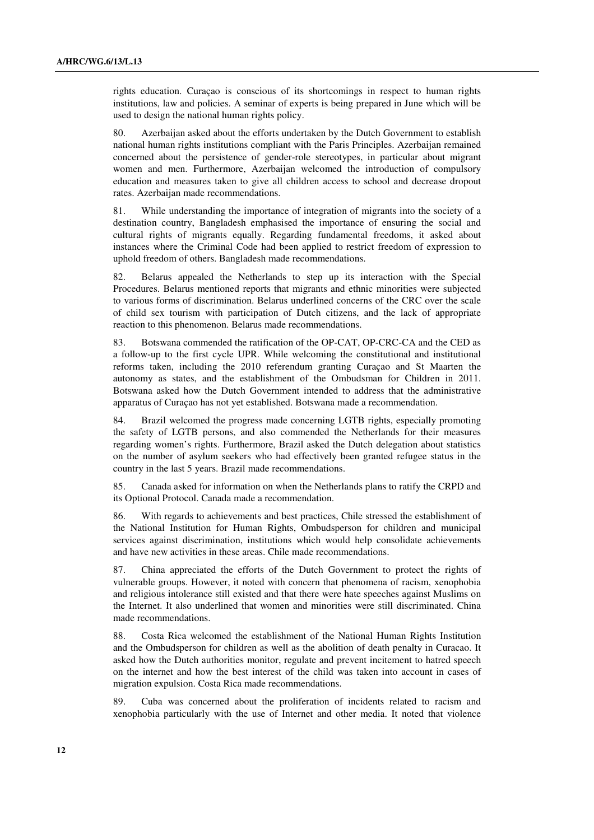rights education. Curaçao is conscious of its shortcomings in respect to human rights institutions, law and policies. A seminar of experts is being prepared in June which will be used to design the national human rights policy.

80. Azerbaijan asked about the efforts undertaken by the Dutch Government to establish national human rights institutions compliant with the Paris Principles. Azerbaijan remained concerned about the persistence of gender-role stereotypes, in particular about migrant women and men. Furthermore, Azerbaijan welcomed the introduction of compulsory education and measures taken to give all children access to school and decrease dropout rates. Azerbaijan made recommendations.

81. While understanding the importance of integration of migrants into the society of a destination country, Bangladesh emphasised the importance of ensuring the social and cultural rights of migrants equally. Regarding fundamental freedoms, it asked about instances where the Criminal Code had been applied to restrict freedom of expression to uphold freedom of others. Bangladesh made recommendations.

82. Belarus appealed the Netherlands to step up its interaction with the Special Procedures. Belarus mentioned reports that migrants and ethnic minorities were subjected to various forms of discrimination. Belarus underlined concerns of the CRC over the scale of child sex tourism with participation of Dutch citizens, and the lack of appropriate reaction to this phenomenon. Belarus made recommendations.

83. Botswana commended the ratification of the OP-CAT, OP-CRC-CA and the CED as a follow-up to the first cycle UPR. While welcoming the constitutional and institutional reforms taken, including the 2010 referendum granting Curaçao and St Maarten the autonomy as states, and the establishment of the Ombudsman for Children in 2011. Botswana asked how the Dutch Government intended to address that the administrative apparatus of Curaçao has not yet established. Botswana made a recommendation.

84. Brazil welcomed the progress made concerning LGTB rights, especially promoting the safety of LGTB persons, and also commended the Netherlands for their measures regarding women's rights. Furthermore, Brazil asked the Dutch delegation about statistics on the number of asylum seekers who had effectively been granted refugee status in the country in the last 5 years. Brazil made recommendations.

85. Canada asked for information on when the Netherlands plans to ratify the CRPD and its Optional Protocol. Canada made a recommendation.

86. With regards to achievements and best practices, Chile stressed the establishment of the National Institution for Human Rights, Ombudsperson for children and municipal services against discrimination, institutions which would help consolidate achievements and have new activities in these areas. Chile made recommendations.

87. China appreciated the efforts of the Dutch Government to protect the rights of vulnerable groups. However, it noted with concern that phenomena of racism, xenophobia and religious intolerance still existed and that there were hate speeches against Muslims on the Internet. It also underlined that women and minorities were still discriminated. China made recommendations.

88. Costa Rica welcomed the establishment of the National Human Rights Institution and the Ombudsperson for children as well as the abolition of death penalty in Curacao. It asked how the Dutch authorities monitor, regulate and prevent incitement to hatred speech on the internet and how the best interest of the child was taken into account in cases of migration expulsion. Costa Rica made recommendations.

89. Cuba was concerned about the proliferation of incidents related to racism and xenophobia particularly with the use of Internet and other media. It noted that violence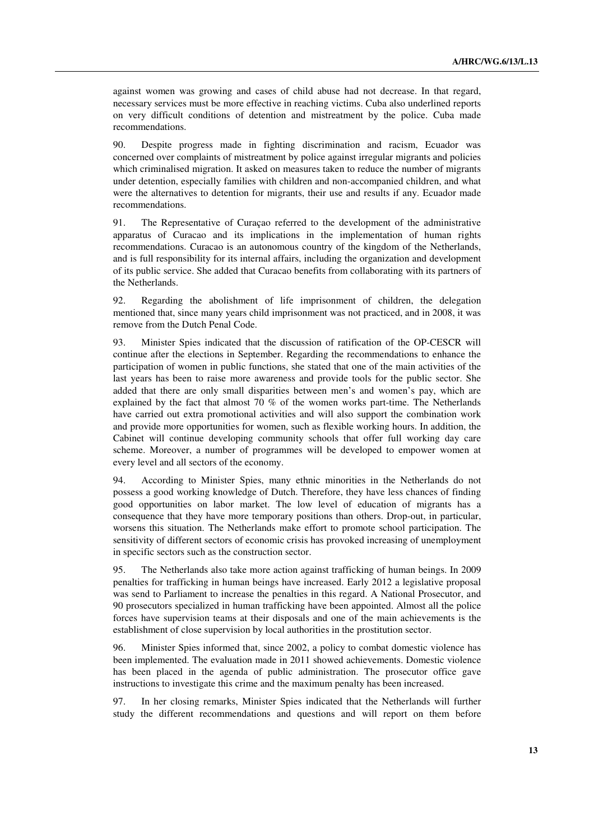against women was growing and cases of child abuse had not decrease. In that regard, necessary services must be more effective in reaching victims. Cuba also underlined reports on very difficult conditions of detention and mistreatment by the police. Cuba made recommendations.

90. Despite progress made in fighting discrimination and racism, Ecuador was concerned over complaints of mistreatment by police against irregular migrants and policies which criminalised migration. It asked on measures taken to reduce the number of migrants under detention, especially families with children and non-accompanied children, and what were the alternatives to detention for migrants, their use and results if any. Ecuador made recommendations.

91. The Representative of Curaçao referred to the development of the administrative apparatus of Curacao and its implications in the implementation of human rights recommendations. Curacao is an autonomous country of the kingdom of the Netherlands, and is full responsibility for its internal affairs, including the organization and development of its public service. She added that Curacao benefits from collaborating with its partners of the Netherlands.

92. Regarding the abolishment of life imprisonment of children, the delegation mentioned that, since many years child imprisonment was not practiced, and in 2008, it was remove from the Dutch Penal Code.

93. Minister Spies indicated that the discussion of ratification of the OP-CESCR will continue after the elections in September. Regarding the recommendations to enhance the participation of women in public functions, she stated that one of the main activities of the last years has been to raise more awareness and provide tools for the public sector. She added that there are only small disparities between men's and women's pay, which are explained by the fact that almost 70 % of the women works part-time. The Netherlands have carried out extra promotional activities and will also support the combination work and provide more opportunities for women, such as flexible working hours. In addition, the Cabinet will continue developing community schools that offer full working day care scheme. Moreover, a number of programmes will be developed to empower women at every level and all sectors of the economy.

94. According to Minister Spies, many ethnic minorities in the Netherlands do not possess a good working knowledge of Dutch. Therefore, they have less chances of finding good opportunities on labor market. The low level of education of migrants has a consequence that they have more temporary positions than others. Drop-out, in particular, worsens this situation. The Netherlands make effort to promote school participation. The sensitivity of different sectors of economic crisis has provoked increasing of unemployment in specific sectors such as the construction sector.

95. The Netherlands also take more action against trafficking of human beings. In 2009 penalties for trafficking in human beings have increased. Early 2012 a legislative proposal was send to Parliament to increase the penalties in this regard. A National Prosecutor, and 90 prosecutors specialized in human trafficking have been appointed. Almost all the police forces have supervision teams at their disposals and one of the main achievements is the establishment of close supervision by local authorities in the prostitution sector.

96. Minister Spies informed that, since 2002, a policy to combat domestic violence has been implemented. The evaluation made in 2011 showed achievements. Domestic violence has been placed in the agenda of public administration. The prosecutor office gave instructions to investigate this crime and the maximum penalty has been increased.

97. In her closing remarks, Minister Spies indicated that the Netherlands will further study the different recommendations and questions and will report on them before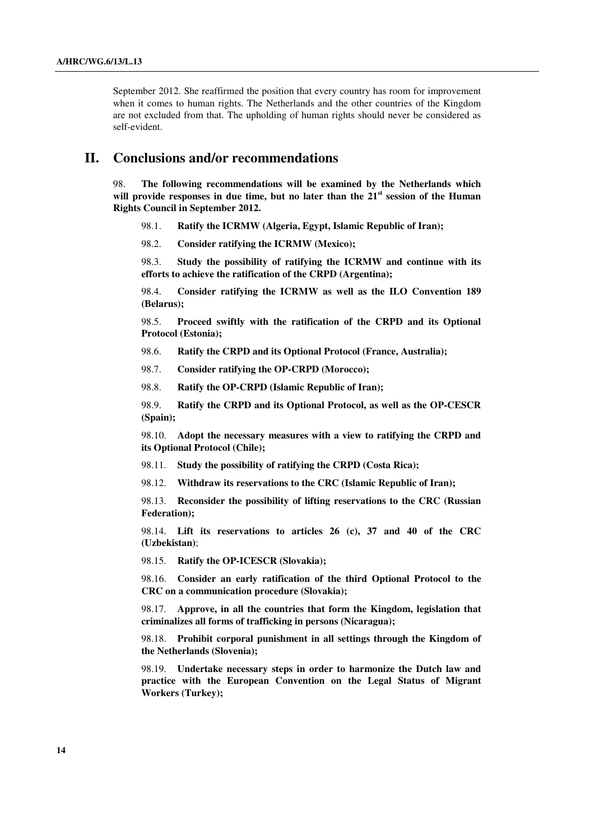September 2012. She reaffirmed the position that every country has room for improvement when it comes to human rights. The Netherlands and the other countries of the Kingdom are not excluded from that. The upholding of human rights should never be considered as self-evident.

## **II. Conclusions and/or recommendations**

98. **The following recommendations will be examined by the Netherlands which will provide responses in due time, but no later than the 21st session of the Human Rights Council in September 2012.**

- 98.1. **Ratify the ICRMW (Algeria, Egypt, Islamic Republic of Iran);**
- 98.2. **Consider ratifying the ICRMW (Mexico);**

 98.3. **Study the possibility of ratifying the ICRMW and continue with its efforts to achieve the ratification of the CRPD (Argentina);** 

 98.4. **Consider ratifying the ICRMW as well as the ILO Convention 189 (Belarus);** 

 98.5. **Proceed swiftly with the ratification of the CRPD and its Optional Protocol (Estonia);** 

98.6. **Ratify the CRPD and its Optional Protocol (France, Australia);** 

98.7. **Consider ratifying the OP-CRPD (Morocco);** 

98.8. **Ratify the OP-CRPD (Islamic Republic of Iran);** 

 98.9. **Ratify the CRPD and its Optional Protocol, as well as the OP-CESCR (Spain);** 

 98.10. **Adopt the necessary measures with a view to ratifying the CRPD and its Optional Protocol (Chile);** 

98.11. **Study the possibility of ratifying the CRPD (Costa Rica);** 

98.12. **Withdraw its reservations to the CRC (Islamic Republic of Iran);** 

 98.13. **Reconsider the possibility of lifting reservations to the CRC (Russian Federation);** 

 98.14. **Lift its reservations to articles 26 (c), 37 and 40 of the CRC (Uzbekistan)**;

98.15. **Ratify the OP-ICESCR (Slovakia);** 

 98.16. **Consider an early ratification of the third Optional Protocol to the CRC on a communication procedure (Slovakia);** 

 98.17. **Approve, in all the countries that form the Kingdom, legislation that criminalizes all forms of trafficking in persons (Nicaragua);** 

 98.18. **Prohibit corporal punishment in all settings through the Kingdom of the Netherlands (Slovenia);** 

 98.19. **Undertake necessary steps in order to harmonize the Dutch law and practice with the European Convention on the Legal Status of Migrant Workers (Turkey);**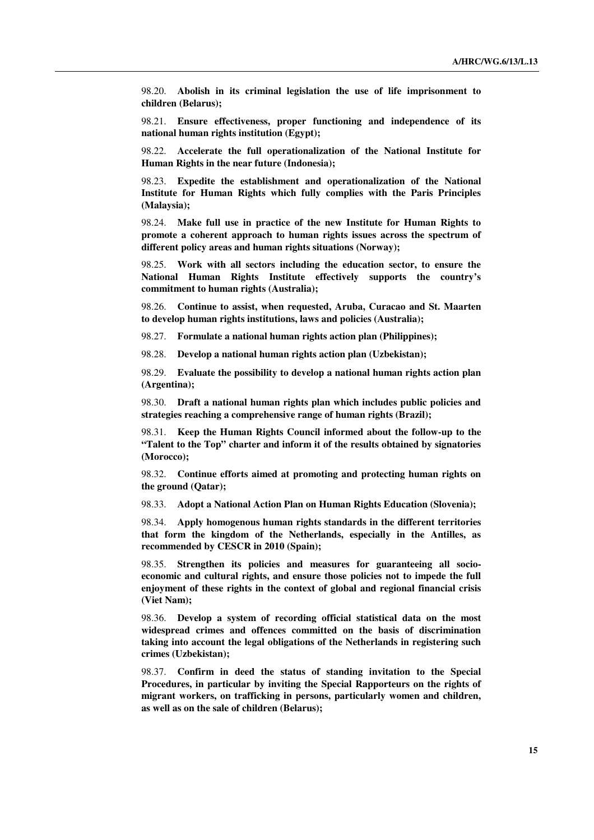98.20. **Abolish in its criminal legislation the use of life imprisonment to children (Belarus);** 

 98.21. **Ensure effectiveness, proper functioning and independence of its national human rights institution (Egypt);** 

 98.22. **Accelerate the full operationalization of the National Institute for Human Rights in the near future (Indonesia);** 

 98.23. **Expedite the establishment and operationalization of the National Institute for Human Rights which fully complies with the Paris Principles (Malaysia);** 

 98.24. **Make full use in practice of the new Institute for Human Rights to promote a coherent approach to human rights issues across the spectrum of different policy areas and human rights situations (Norway);** 

 98.25. **Work with all sectors including the education sector, to ensure the National Human Rights Institute effectively supports the country's commitment to human rights (Australia);** 

 98.26. **Continue to assist, when requested, Aruba, Curacao and St. Maarten to develop human rights institutions, laws and policies (Australia);** 

98.27. **Formulate a national human rights action plan (Philippines);** 

98.28. **Develop a national human rights action plan (Uzbekistan);** 

 98.29. **Evaluate the possibility to develop a national human rights action plan (Argentina);** 

 98.30. **Draft a national human rights plan which includes public policies and strategies reaching a comprehensive range of human rights (Brazil);** 

 98.31. **Keep the Human Rights Council informed about the follow-up to the "Talent to the Top" charter and inform it of the results obtained by signatories (Morocco);** 

 98.32. **Continue efforts aimed at promoting and protecting human rights on the ground (Qatar);** 

98.33. **Adopt a National Action Plan on Human Rights Education (Slovenia);** 

 98.34. **Apply homogenous human rights standards in the different territories that form the kingdom of the Netherlands, especially in the Antilles, as recommended by CESCR in 2010 (Spain);** 

 98.35. **Strengthen its policies and measures for guaranteeing all socioeconomic and cultural rights, and ensure those policies not to impede the full enjoyment of these rights in the context of global and regional financial crisis (Viet Nam);** 

 98.36. **Develop a system of recording official statistical data on the most widespread crimes and offences committed on the basis of discrimination taking into account the legal obligations of the Netherlands in registering such crimes (Uzbekistan);** 

 98.37. **Confirm in deed the status of standing invitation to the Special Procedures, in particular by inviting the Special Rapporteurs on the rights of migrant workers, on trafficking in persons, particularly women and children, as well as on the sale of children (Belarus);**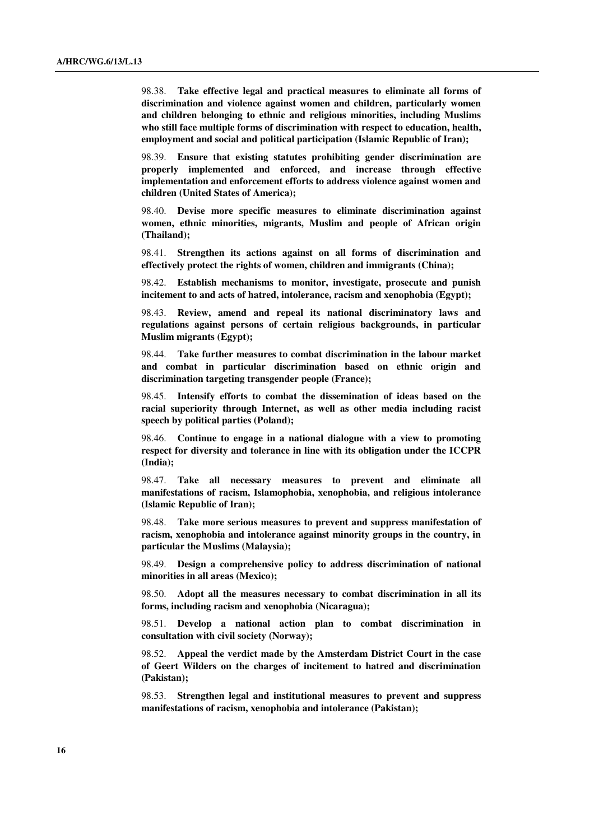98.38. **Take effective legal and practical measures to eliminate all forms of discrimination and violence against women and children, particularly women and children belonging to ethnic and religious minorities, including Muslims who still face multiple forms of discrimination with respect to education, health, employment and social and political participation (Islamic Republic of Iran);** 

 98.39. **Ensure that existing statutes prohibiting gender discrimination are properly implemented and enforced, and increase through effective implementation and enforcement efforts to address violence against women and children (United States of America);** 

 98.40. **Devise more specific measures to eliminate discrimination against women, ethnic minorities, migrants, Muslim and people of African origin (Thailand);** 

 98.41. **Strengthen its actions against on all forms of discrimination and effectively protect the rights of women, children and immigrants (China);** 

 98.42. **Establish mechanisms to monitor, investigate, prosecute and punish incitement to and acts of hatred, intolerance, racism and xenophobia (Egypt);** 

 98.43. **Review, amend and repeal its national discriminatory laws and regulations against persons of certain religious backgrounds, in particular Muslim migrants (Egypt);** 

 98.44. **Take further measures to combat discrimination in the labour market and combat in particular discrimination based on ethnic origin and discrimination targeting transgender people (France);** 

 98.45. **Intensify efforts to combat the dissemination of ideas based on the racial superiority through Internet, as well as other media including racist speech by political parties (Poland);** 

 98.46. **Continue to engage in a national dialogue with a view to promoting respect for diversity and tolerance in line with its obligation under the ICCPR (India);** 

 98.47. **Take all necessary measures to prevent and eliminate all manifestations of racism, Islamophobia, xenophobia, and religious intolerance (Islamic Republic of Iran);** 

 98.48. **Take more serious measures to prevent and suppress manifestation of racism, xenophobia and intolerance against minority groups in the country, in particular the Muslims (Malaysia);** 

 98.49. **Design a comprehensive policy to address discrimination of national minorities in all areas (Mexico);** 

 98.50. **Adopt all the measures necessary to combat discrimination in all its forms, including racism and xenophobia (Nicaragua);**

 98.51. **Develop a national action plan to combat discrimination in consultation with civil society (Norway);** 

 98.52. **Appeal the verdict made by the Amsterdam District Court in the case of Geert Wilders on the charges of incitement to hatred and discrimination (Pakistan);** 

 98.53. **Strengthen legal and institutional measures to prevent and suppress manifestations of racism, xenophobia and intolerance (Pakistan);**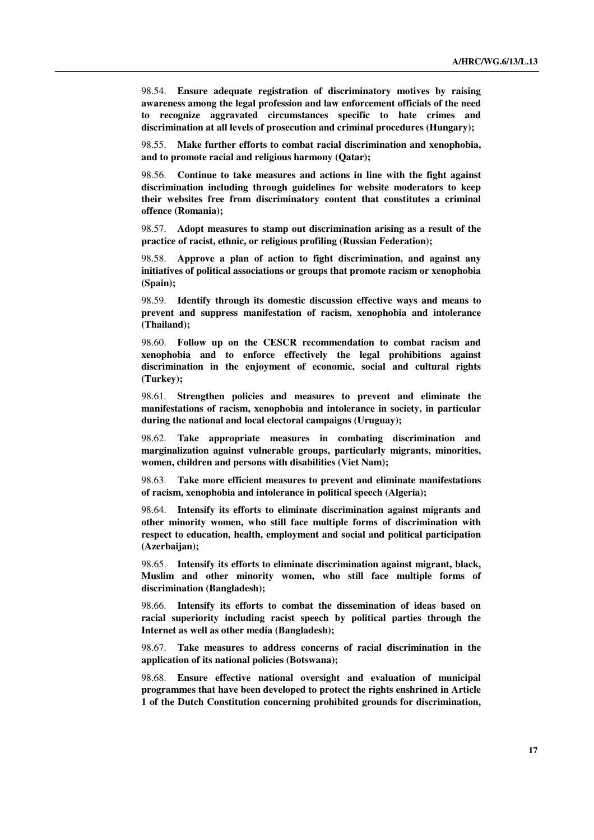98.54. **Ensure adequate registration of discriminatory motives by raising awareness among the legal profession and law enforcement officials of the need to recognize aggravated circumstances specific to hate crimes and discrimination at all levels of prosecution and criminal procedures (Hungary);** 

 98.55. **Make further efforts to combat racial discrimination and xenophobia, and to promote racial and religious harmony (Qatar);** 

 98.56. **Continue to take measures and actions in line with the fight against discrimination including through guidelines for website moderators to keep their websites free from discriminatory content that constitutes a criminal offence (Romania);** 

 98.57. **Adopt measures to stamp out discrimination arising as a result of the practice of racist, ethnic, or religious profiling (Russian Federation);** 

 98.58. **Approve a plan of action to fight discrimination, and against any initiatives of political associations or groups that promote racism or xenophobia (Spain);** 

 98.59. **Identify through its domestic discussion effective ways and means to prevent and suppress manifestation of racism, xenophobia and intolerance (Thailand);** 

 98.60. **Follow up on the CESCR recommendation to combat racism and xenophobia and to enforce effectively the legal prohibitions against discrimination in the enjoyment of economic, social and cultural rights (Turkey);** 

 98.61. **Strengthen policies and measures to prevent and eliminate the manifestations of racism, xenophobia and intolerance in society, in particular during the national and local electoral campaigns (Uruguay);** 

 98.62. **Take appropriate measures in combating discrimination and marginalization against vulnerable groups, particularly migrants, minorities, women, children and persons with disabilities (Viet Nam);** 

 98.63. **Take more efficient measures to prevent and eliminate manifestations of racism, xenophobia and intolerance in political speech (Algeria);** 

 98.64. **Intensify its efforts to eliminate discrimination against migrants and other minority women, who still face multiple forms of discrimination with respect to education, health, employment and social and political participation (Azerbaijan);** 

 98.65. **Intensify its efforts to eliminate discrimination against migrant, black, Muslim and other minority women, who still face multiple forms of discrimination (Bangladesh);** 

 98.66. **Intensify its efforts to combat the dissemination of ideas based on racial superiority including racist speech by political parties through the Internet as well as other media (Bangladesh);** 

 98.67. **Take measures to address concerns of racial discrimination in the application of its national policies (Botswana);** 

 98.68. **Ensure effective national oversight and evaluation of municipal programmes that have been developed to protect the rights enshrined in Article 1 of the Dutch Constitution concerning prohibited grounds for discrimination,**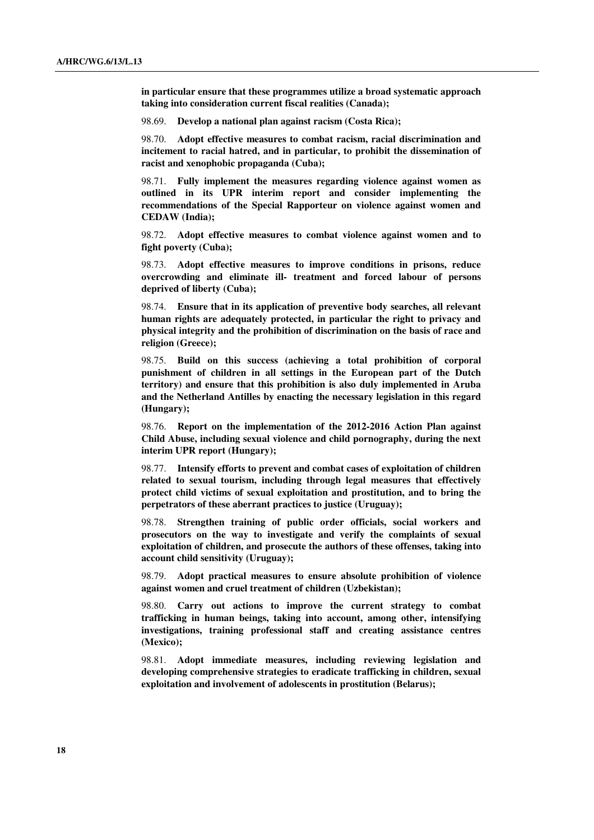**in particular ensure that these programmes utilize a broad systematic approach taking into consideration current fiscal realities (Canada);** 

98.69. **Develop a national plan against racism (Costa Rica);** 

 98.70. **Adopt effective measures to combat racism, racial discrimination and incitement to racial hatred, and in particular, to prohibit the dissemination of racist and xenophobic propaganda (Cuba);** 

 98.71. **Fully implement the measures regarding violence against women as outlined in its UPR interim report and consider implementing the recommendations of the Special Rapporteur on violence against women and CEDAW (India);** 

 98.72. **Adopt effective measures to combat violence against women and to fight poverty (Cuba);** 

 98.73. **Adopt effective measures to improve conditions in prisons, reduce overcrowding and eliminate ill- treatment and forced labour of persons deprived of liberty (Cuba);** 

 98.74. **Ensure that in its application of preventive body searches, all relevant human rights are adequately protected, in particular the right to privacy and physical integrity and the prohibition of discrimination on the basis of race and religion (Greece);** 

 98.75. **Build on this success (achieving a total prohibition of corporal punishment of children in all settings in the European part of the Dutch territory) and ensure that this prohibition is also duly implemented in Aruba and the Netherland Antilles by enacting the necessary legislation in this regard (Hungary);** 

 98.76. **Report on the implementation of the 2012-2016 Action Plan against Child Abuse, including sexual violence and child pornography, during the next interim UPR report (Hungary);** 

 98.77. **Intensify efforts to prevent and combat cases of exploitation of children related to sexual tourism, including through legal measures that effectively protect child victims of sexual exploitation and prostitution, and to bring the perpetrators of these aberrant practices to justice (Uruguay);** 

 98.78. **Strengthen training of public order officials, social workers and prosecutors on the way to investigate and verify the complaints of sexual exploitation of children, and prosecute the authors of these offenses, taking into account child sensitivity (Uruguay);** 

 98.79. **Adopt practical measures to ensure absolute prohibition of violence against women and cruel treatment of children (Uzbekistan);** 

 98.80. **Carry out actions to improve the current strategy to combat trafficking in human beings, taking into account, among other, intensifying investigations, training professional staff and creating assistance centres (Mexico);** 

 98.81. **Adopt immediate measures, including reviewing legislation and developing comprehensive strategies to eradicate trafficking in children, sexual exploitation and involvement of adolescents in prostitution (Belarus);**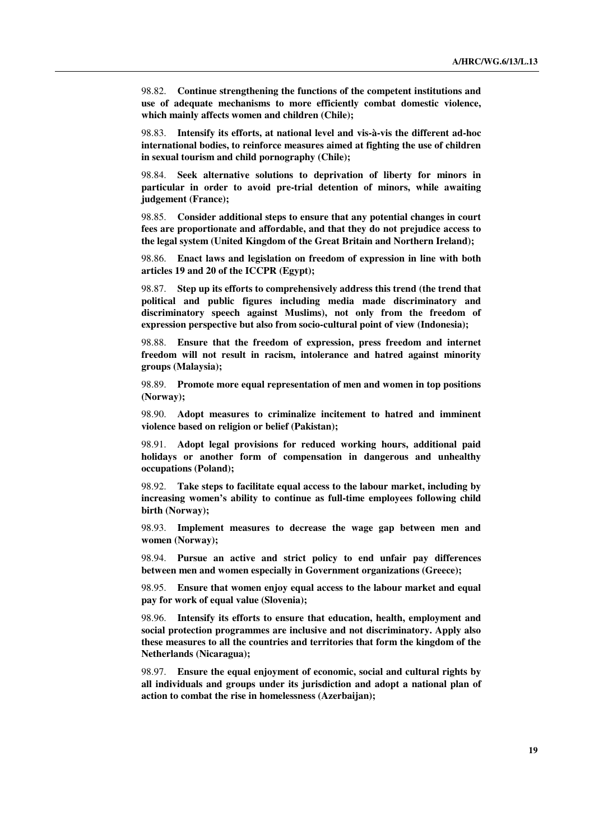98.82. **Continue strengthening the functions of the competent institutions and use of adequate mechanisms to more efficiently combat domestic violence, which mainly affects women and children (Chile);** 

 98.83. **Intensify its efforts, at national level and vis-à-vis the different ad-hoc international bodies, to reinforce measures aimed at fighting the use of children in sexual tourism and child pornography (Chile);** 

 98.84. **Seek alternative solutions to deprivation of liberty for minors in particular in order to avoid pre-trial detention of minors, while awaiting judgement (France);** 

 98.85. **Consider additional steps to ensure that any potential changes in court fees are proportionate and affordable, and that they do not prejudice access to the legal system (United Kingdom of the Great Britain and Northern Ireland);** 

 98.86. **Enact laws and legislation on freedom of expression in line with both articles 19 and 20 of the ICCPR (Egypt);** 

 98.87. **Step up its efforts to comprehensively address this trend (the trend that political and public figures including media made discriminatory and discriminatory speech against Muslims), not only from the freedom of expression perspective but also from socio-cultural point of view (Indonesia);** 

 98.88. **Ensure that the freedom of expression, press freedom and internet freedom will not result in racism, intolerance and hatred against minority groups (Malaysia);** 

 98.89. **Promote more equal representation of men and women in top positions (Norway);** 

 98.90. **Adopt measures to criminalize incitement to hatred and imminent violence based on religion or belief (Pakistan);** 

 98.91. **Adopt legal provisions for reduced working hours, additional paid holidays or another form of compensation in dangerous and unhealthy occupations (Poland);** 

 98.92. **Take steps to facilitate equal access to the labour market, including by increasing women's ability to continue as full-time employees following child birth (Norway);** 

 98.93. **Implement measures to decrease the wage gap between men and women (Norway);** 

 98.94. **Pursue an active and strict policy to end unfair pay differences between men and women especially in Government organizations (Greece);** 

 98.95. **Ensure that women enjoy equal access to the labour market and equal pay for work of equal value (Slovenia);** 

 98.96. **Intensify its efforts to ensure that education, health, employment and social protection programmes are inclusive and not discriminatory. Apply also these measures to all the countries and territories that form the kingdom of the Netherlands (Nicaragua);** 

 98.97. **Ensure the equal enjoyment of economic, social and cultural rights by all individuals and groups under its jurisdiction and adopt a national plan of action to combat the rise in homelessness (Azerbaijan);**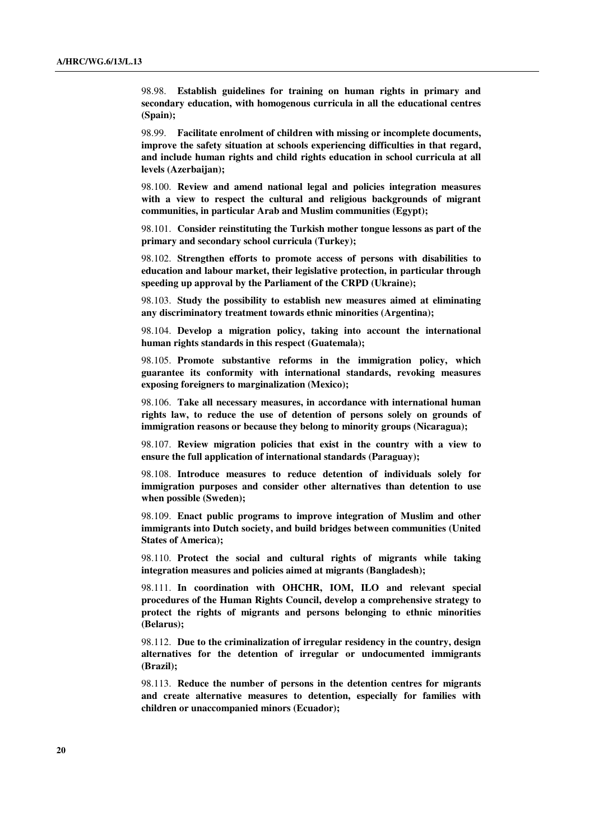98.98. **Establish guidelines for training on human rights in primary and secondary education, with homogenous curricula in all the educational centres (Spain);** 

 98.99. **Facilitate enrolment of children with missing or incomplete documents, improve the safety situation at schools experiencing difficulties in that regard, and include human rights and child rights education in school curricula at all levels (Azerbaijan);** 

 98.100. **Review and amend national legal and policies integration measures with a view to respect the cultural and religious backgrounds of migrant communities, in particular Arab and Muslim communities (Egypt);** 

 98.101. **Consider reinstituting the Turkish mother tongue lessons as part of the primary and secondary school curricula (Turkey);** 

 98.102. **Strengthen efforts to promote access of persons with disabilities to education and labour market, their legislative protection, in particular through speeding up approval by the Parliament of the CRPD (Ukraine);** 

 98.103. **Study the possibility to establish new measures aimed at eliminating any discriminatory treatment towards ethnic minorities (Argentina);** 

 98.104. **Develop a migration policy, taking into account the international human rights standards in this respect (Guatemala);**

 98.105. **Promote substantive reforms in the immigration policy, which guarantee its conformity with international standards, revoking measures exposing foreigners to marginalization (Mexico);** 

 98.106. **Take all necessary measures, in accordance with international human rights law, to reduce the use of detention of persons solely on grounds of immigration reasons or because they belong to minority groups (Nicaragua);** 

 98.107. **Review migration policies that exist in the country with a view to ensure the full application of international standards (Paraguay);** 

 98.108. **Introduce measures to reduce detention of individuals solely for immigration purposes and consider other alternatives than detention to use when possible (Sweden);** 

 98.109. **Enact public programs to improve integration of Muslim and other immigrants into Dutch society, and build bridges between communities (United States of America);** 

 98.110. **Protect the social and cultural rights of migrants while taking integration measures and policies aimed at migrants (Bangladesh);** 

 98.111. **In coordination with OHCHR, IOM, ILO and relevant special procedures of the Human Rights Council, develop a comprehensive strategy to protect the rights of migrants and persons belonging to ethnic minorities (Belarus);** 

 98.112. **Due to the criminalization of irregular residency in the country, design alternatives for the detention of irregular or undocumented immigrants (Brazil);** 

 98.113. **Reduce the number of persons in the detention centres for migrants and create alternative measures to detention, especially for families with children or unaccompanied minors (Ecuador);**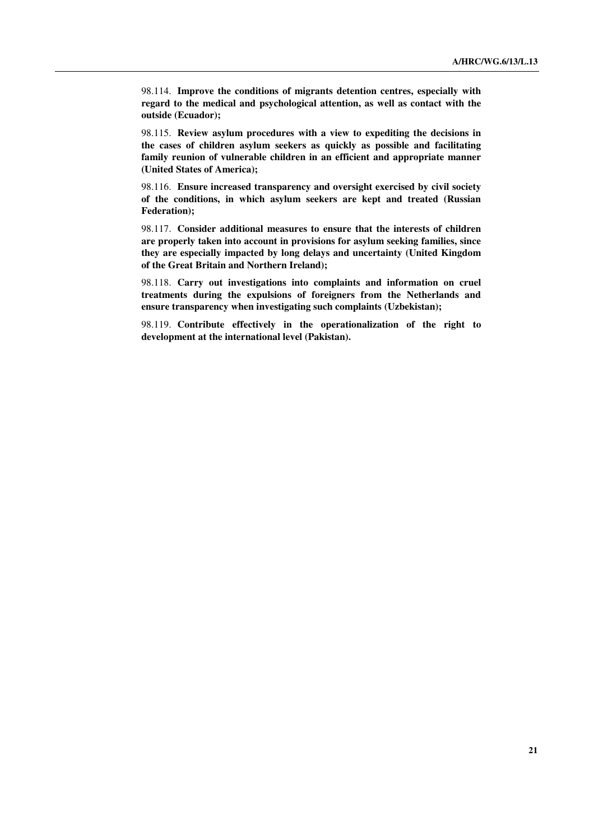98.114. **Improve the conditions of migrants detention centres, especially with regard to the medical and psychological attention, as well as contact with the outside (Ecuador);** 

 98.115. **Review asylum procedures with a view to expediting the decisions in the cases of children asylum seekers as quickly as possible and facilitating family reunion of vulnerable children in an efficient and appropriate manner (United States of America);** 

 98.116. **Ensure increased transparency and oversight exercised by civil society of the conditions, in which asylum seekers are kept and treated (Russian Federation);** 

 98.117. **Consider additional measures to ensure that the interests of children are properly taken into account in provisions for asylum seeking families, since they are especially impacted by long delays and uncertainty (United Kingdom of the Great Britain and Northern Ireland);** 

 98.118. **Carry out investigations into complaints and information on cruel treatments during the expulsions of foreigners from the Netherlands and ensure transparency when investigating such complaints (Uzbekistan);** 

 98.119. **Contribute effectively in the operationalization of the right to development at the international level (Pakistan).**